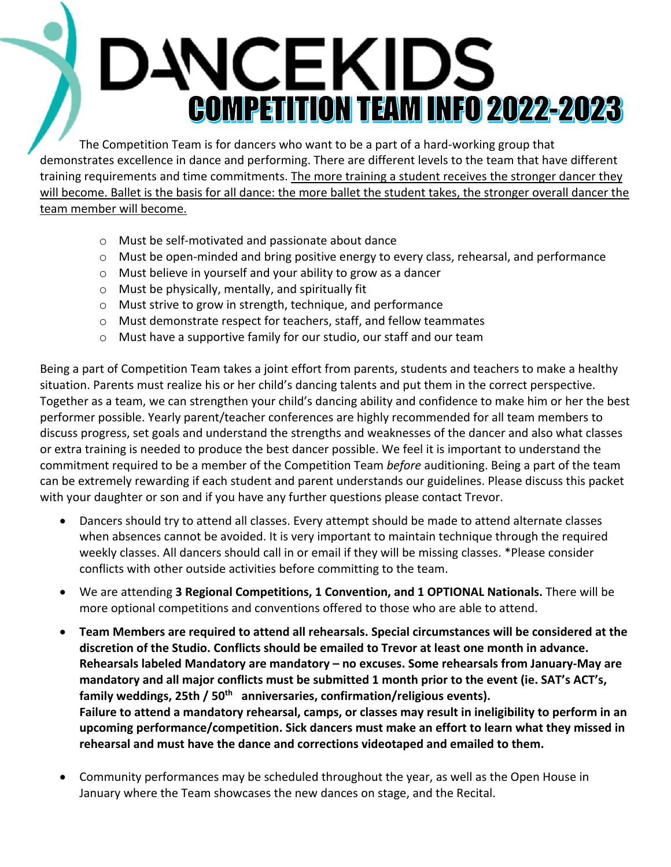# DANCEKIDS **COMPETITION TEAM INFO 2022-2023**

The Competition Team is for dancers who want to be a part of a hard-working group that demonstrates excellence in dance and performing. There are different levels to the team that have different training requirements and time commitments. The more training a student receives the stronger dancer they will become. Ballet is the basis for all dance: the more ballet the student takes, the stronger overall dancer the team member will become.

- o Must be self-motivated and passionate about dance
- o Must be open-minded and bring positive energy to every class, rehearsal, and performance
- o Must believe in yourself and your ability to grow as a dancer
- o Must be physically, mentally, and spiritually fit
- o Must strive to grow in strength, technique, and performance
- o Must demonstrate respect for teachers, staff, and fellow teammates
- o Must have a supportive family for our studio, our staff and our team

Being a part of Competition Team takes a joint effort from parents, students and teachers to make a healthy situation. Parents must realize his or her child's dancing talents and put them in the correct perspective. Together as a team, we can strengthen your child's dancing ability and confidence to make him or her the best performer possible. Yearly parent/teacher conferences are highly recommended for all team members to discuss progress, set goals and understand the strengths and weaknesses of the dancer and also what classes or extra training is needed to produce the best dancer possible. We feel it is important to understand the commitment required to be a member of the Competition Team *before* auditioning. Being a part of the team can be extremely rewarding if each student and parent understands our guidelines. Please discuss this packet with your daughter or son and if you have any further questions please contact Trevor.

- Dancers should try to attend all classes. Every attempt should be made to attend alternate classes when absences cannot be avoided. It is very important to maintain technique through the required weekly classes. All dancers should call in or email if they will be missing classes. \*Please consider conflicts with other outside activities before committing to the team.
- We are attending **3 Regional Competitions, 1 Convention, and 1 OPTIONAL Nationals.** There will be more optional competitions and conventions offered to those who are able to attend.
- **Team Members are required to attend all rehearsals. Special circumstances will be considered at the discretion of the Studio. Conflicts should be emailed to Trevor at least one month in advance. Rehearsals labeled Mandatory are mandatory – no excuses. Some rehearsals from January-May are mandatory and all major conflicts must be submitted 1 month prior to the event (ie. SAT's ACT's, family weddings, 25th / 50th anniversaries, confirmation/religious events). Failure to attend a mandatory rehearsal, camps, or classes may result in ineligibility to perform in an upcoming performance/competition. Sick dancers must make an effort to learn what they missed in rehearsal and must have the dance and corrections videotaped and emailed to them.**
- Community performances may be scheduled throughout the year, as well as the Open House in January where the Team showcases the new dances on stage, and the Recital.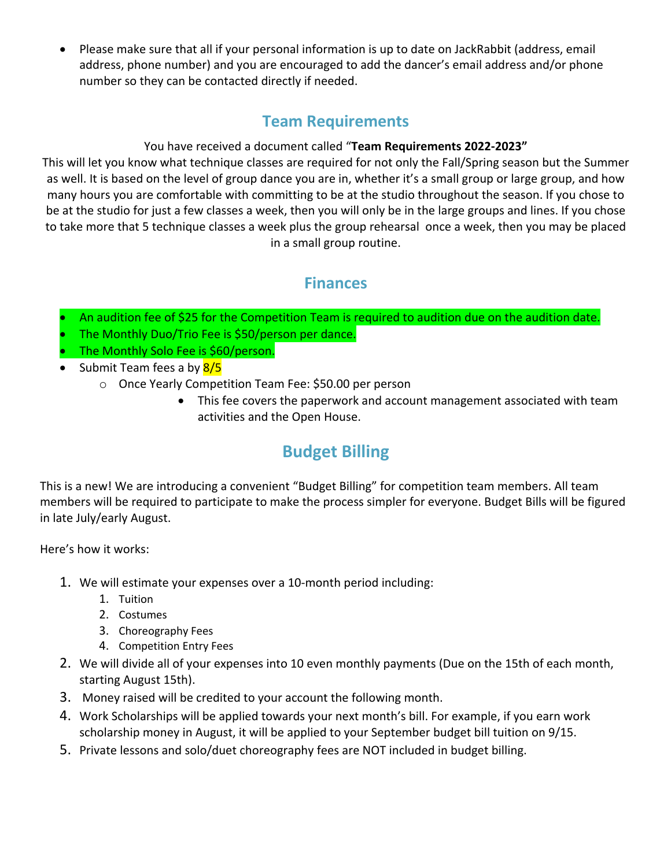• Please make sure that all if your personal information is up to date on JackRabbit (address, email address, phone number) and you are encouraged to add the dancer's email address and/or phone number so they can be contacted directly if needed.

#### **Team Requirements**

#### You have received a document called "**Team Requirements 2022-2023"**

This will let you know what technique classes are required for not only the Fall/Spring season but the Summer as well. It is based on the level of group dance you are in, whether it's a small group or large group, and how many hours you are comfortable with committing to be at the studio throughout the season. If you chose to be at the studio for just a few classes a week, then you will only be in the large groups and lines. If you chose to take more that 5 technique classes a week plus the group rehearsal once a week, then you may be placed in a small group routine.

#### **Finances**

- An audition fee of \$25 for the Competition Team is required to audition due on the audition date.
- The Monthly Duo/Trio Fee is \$50/person per dance.
- The Monthly Solo Fee is \$60/person.
- Submit Team fees a by 8/5
	- o Once Yearly Competition Team Fee: \$50.00 per person
		- This fee covers the paperwork and account management associated with team activities and the Open House.

## **Budget Billing**

This is a new! We are introducing a convenient "Budget Billing" for competition team members. All team members will be required to participate to make the process simpler for everyone. Budget Bills will be figured in late July/early August.

Here's how it works:

- 1. We will estimate your expenses over a 10-month period including:
	- 1. Tuition
	- 2. Costumes
	- 3. Choreography Fees
	- 4. Competition Entry Fees
- 2. We will divide all of your expenses into 10 even monthly payments (Due on the 15th of each month, starting August 15th).
- 3. Money raised will be credited to your account the following month.
- 4. Work Scholarships will be applied towards your next month's bill. For example, if you earn work scholarship money in August, it will be applied to your September budget bill tuition on 9/15.
- 5. Private lessons and solo/duet choreography fees are NOT included in budget billing.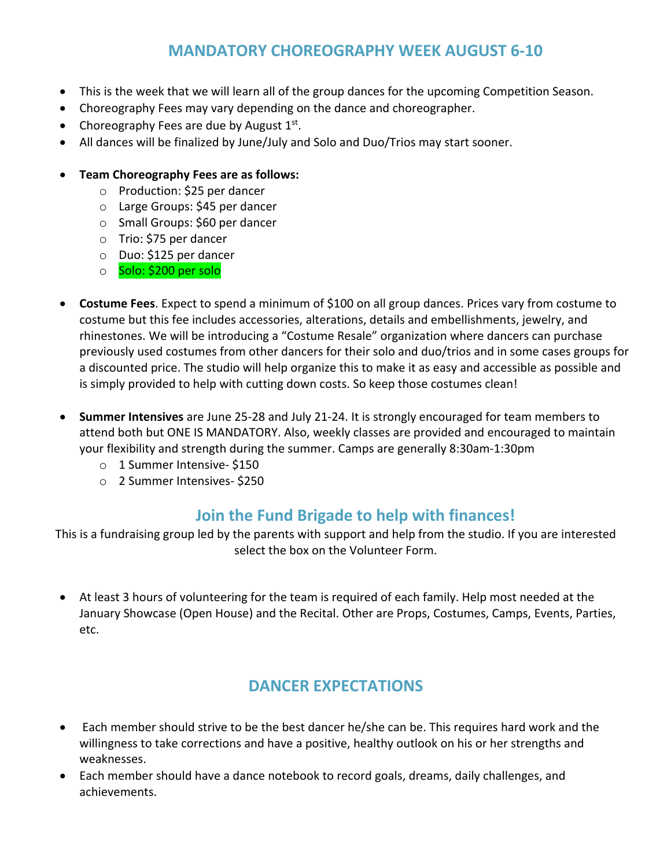#### **MANDATORY CHOREOGRAPHY WEEK AUGUST 6-10**

- This is the week that we will learn all of the group dances for the upcoming Competition Season.
- Choreography Fees may vary depending on the dance and choreographer.
- Choreography Fees are due by August  $1<sup>st</sup>$ .
- All dances will be finalized by June/July and Solo and Duo/Trios may start sooner.
- **Team Choreography Fees are as follows:** 
	- o Production: \$25 per dancer
	- o Large Groups: \$45 per dancer
	- o Small Groups: \$60 per dancer
	- o Trio: \$75 per dancer
	- o Duo: \$125 per dancer
	- o Solo: \$200 per solo
- **Costume Fees**. Expect to spend a minimum of \$100 on all group dances. Prices vary from costume to costume but this fee includes accessories, alterations, details and embellishments, jewelry, and rhinestones. We will be introducing a "Costume Resale" organization where dancers can purchase previously used costumes from other dancers for their solo and duo/trios and in some cases groups for a discounted price. The studio will help organize this to make it as easy and accessible as possible and is simply provided to help with cutting down costs. So keep those costumes clean!
- **Summer Intensives** are June 25-28 and July 21-24. It is strongly encouraged for team members to attend both but ONE IS MANDATORY. Also, weekly classes are provided and encouraged to maintain your flexibility and strength during the summer. Camps are generally 8:30am-1:30pm
	- o 1 Summer Intensive- \$150
	- o 2 Summer Intensives- \$250

#### **Join the Fund Brigade to help with finances!**

This is a fundraising group led by the parents with support and help from the studio. If you are interested select the box on the Volunteer Form.

• At least 3 hours of volunteering for the team is required of each family. Help most needed at the January Showcase (Open House) and the Recital. Other are Props, Costumes, Camps, Events, Parties, etc.

#### **DANCER EXPECTATIONS**

- Each member should strive to be the best dancer he/she can be. This requires hard work and the willingness to take corrections and have a positive, healthy outlook on his or her strengths and weaknesses.
- Each member should have a dance notebook to record goals, dreams, daily challenges, and achievements.